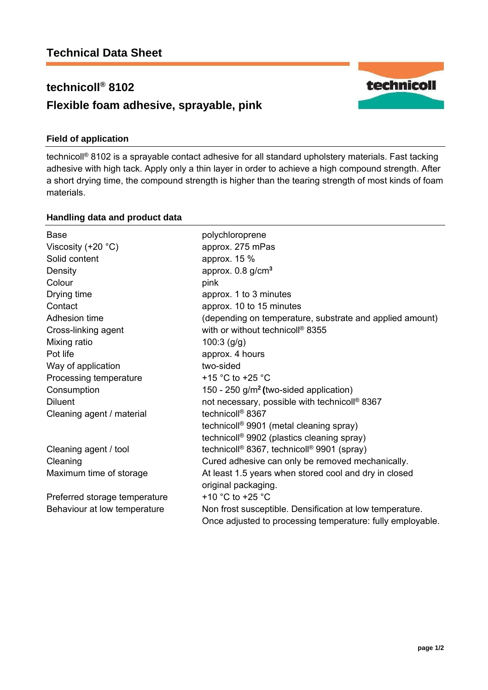# **technicoll® 8102 Flexible foam adhesive, sprayable, pink**

## **Field of application**

technicoll® 8102 is a sprayable contact adhesive for all standard upholstery materials. Fast tacking adhesive with high tack. Apply only a thin layer in order to achieve a high compound strength. After a short drying time, the compound strength is higher than the tearing strength of most kinds of foam materials.

### **Handling data and product data**

| <b>Base</b>                   | polychloroprene                                                    |
|-------------------------------|--------------------------------------------------------------------|
| Viscosity $(+20 °C)$          | approx. 275 mPas                                                   |
| Solid content                 | approx. 15 %                                                       |
| Density                       | approx. $0.8$ g/cm <sup>3</sup>                                    |
| Colour                        | pink                                                               |
| Drying time                   | approx. 1 to 3 minutes                                             |
| Contact                       | approx. 10 to 15 minutes                                           |
| Adhesion time                 | (depending on temperature, substrate and applied amount)           |
| Cross-linking agent           | with or without technicoll <sup>®</sup> 8355                       |
| Mixing ratio                  | $100:3$ (g/g)                                                      |
| Pot life                      | approx. 4 hours                                                    |
| Way of application            | two-sided                                                          |
| Processing temperature        | +15 $\degree$ C to +25 $\degree$ C                                 |
| Consumption                   | 150 - 250 g/m <sup>2</sup> (two-sided application)                 |
| <b>Diluent</b>                | not necessary, possible with technicoll <sup>®</sup> 8367          |
| Cleaning agent / material     | technicoll <sup>®</sup> 8367                                       |
|                               | technicoll <sup>®</sup> 9901 (metal cleaning spray)                |
|                               | technicoll <sup>®</sup> 9902 (plastics cleaning spray)             |
| Cleaning agent / tool         | technicoll <sup>®</sup> 8367, technicoll <sup>®</sup> 9901 (spray) |
| Cleaning                      | Cured adhesive can only be removed mechanically.                   |
| Maximum time of storage       | At least 1.5 years when stored cool and dry in closed              |
|                               | original packaging.                                                |
| Preferred storage temperature | +10 $^{\circ}$ C to +25 $^{\circ}$ C                               |
| Behaviour at low temperature  | Non frost susceptible. Densification at low temperature.           |
|                               | Once adjusted to processing temperature: fully employable.         |
|                               |                                                                    |